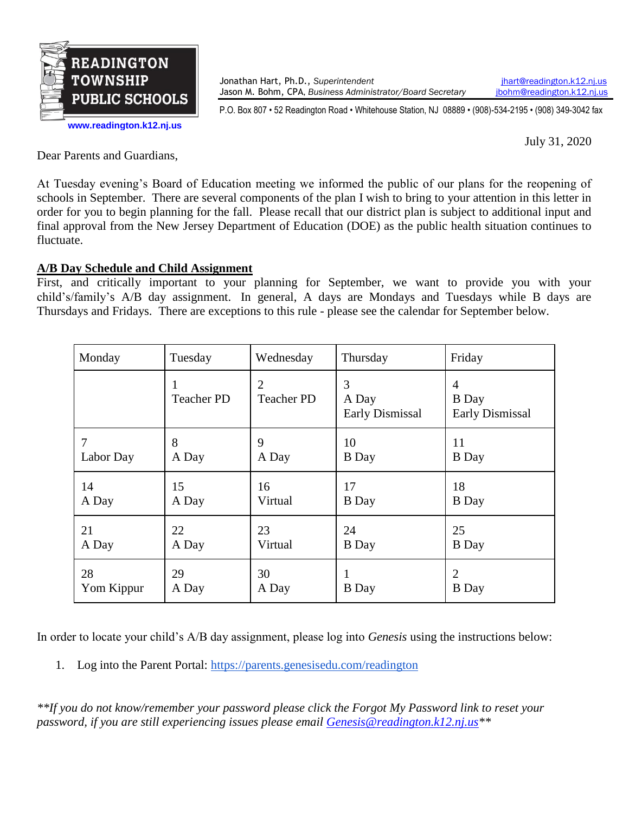

**[www.readington.k12.nj.us](http://www.readington.k12.nj.us/)**

Jonathan Hart, Ph.D., *Superintendent* [jhart@readington.k12.nj.us](mailto:jhart@readington.k12.nj.us) Jason M. Bohm, CPA, *Business Administrator/Board Secretary ibohm@readington.k12.nj.us* 

P.O. Box 807 • 52 Readington Road • Whitehouse Station, NJ 08889 • (908)-534-2195 • (908) 349-3042 fax

July 31, 2020

Dear Parents and Guardians,

At Tuesday evening's Board of Education meeting we informed the public of our plans for the reopening of schools in September. There are several components of the plan I wish to bring to your attention in this letter in order for you to begin planning for the fall. Please recall that our district plan is subject to additional input and final approval from the New Jersey Department of Education (DOE) as the public health situation continues to fluctuate.

## **A/B Day Schedule and Child Assignment**

First, and critically important to your planning for September, we want to provide you with your child's/family's A/B day assignment. In general, A days are Mondays and Tuesdays while B days are Thursdays and Fridays. There are exceptions to this rule - please see the calendar for September below.

| Monday     | Tuesday           | Wednesday                           | Thursday                             | Friday                                      |
|------------|-------------------|-------------------------------------|--------------------------------------|---------------------------------------------|
|            | <b>Teacher PD</b> | $\overline{2}$<br><b>Teacher PD</b> | 3<br>A Day<br><b>Early Dismissal</b> | 4<br><b>B</b> Day<br><b>Early Dismissal</b> |
| 7          | 8                 | 9                                   | 10                                   | 11                                          |
| Labor Day  | A Day             | A Day                               | <b>B</b> Day                         | <b>B</b> Day                                |
| 14         | 15                | 16                                  | 17                                   | 18                                          |
| A Day      | A Day             | Virtual                             | <b>B</b> Day                         | <b>B</b> Day                                |
| 21         | 22                | 23                                  | 24                                   | 25                                          |
| A Day      | A Day             | Virtual                             | <b>B</b> Day                         | <b>B</b> Day                                |
| 28         | 29                | 30                                  | 1                                    | $\overline{2}$                              |
| Yom Kippur | A Day             | A Day                               | <b>B</b> Day                         | <b>B</b> Day                                |

In order to locate your child's A/B day assignment, please log into *Genesis* using the instructions below:

1. Log into the Parent Portal: <https://parents.genesisedu.com/readington>

*\*\*If you do not know/remember your password please click the Forgot My Password link to reset your password, if you are still experiencing issues please email [Genesis@readington.k12.nj.us\\*](mailto:Genesis@readington.k12.nj.us)\**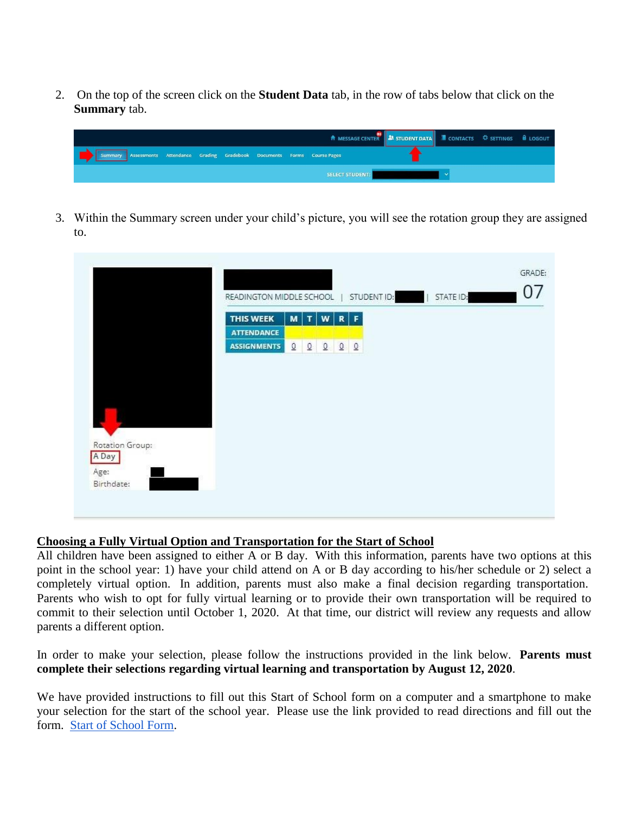2. On the top of the screen click on the **Student Data** tab, in the row of tabs below that click on the **Summary** tab.

|                                                                               |  | A MESSAGE CENTER <b>34 STUDENT DATA I</b> CONTACTS <b>C</b> SETTINGS <b>A</b> LOGOUT |  |  |
|-------------------------------------------------------------------------------|--|--------------------------------------------------------------------------------------|--|--|
| Summary Assessments Attendance Grading Gradebook Documents Forms Course Pages |  |                                                                                      |  |  |
|                                                                               |  | <b>SELECT STUDENT:</b>                                                               |  |  |

3. Within the Summary screen under your child's picture, you will see the rotation group they are assigned to.

|                 |                          |                 |                                |                      |           | GRADE:<br>07 |
|-----------------|--------------------------|-----------------|--------------------------------|----------------------|-----------|--------------|
|                 | READINGTON MIDDLE SCHOOL |                 |                                | STUDENT ID:          | STATE ID: |              |
|                 | <b>THIS WEEK</b>         | M               | $\boldsymbol{\mathsf{w}}$<br>T | $R$ $F$              |           |              |
|                 | <b>ATTENDANCE</b>        |                 |                                |                      |           |              |
|                 | <b>ASSIGNMENTS</b>       | $\underline{0}$ | $\Omega$<br>$\Omega$           | Q<br>$\underline{0}$ |           |              |
|                 |                          |                 |                                |                      |           |              |
|                 |                          |                 |                                |                      |           |              |
|                 |                          |                 |                                |                      |           |              |
|                 |                          |                 |                                |                      |           |              |
|                 |                          |                 |                                |                      |           |              |
|                 |                          |                 |                                |                      |           |              |
|                 |                          |                 |                                |                      |           |              |
|                 |                          |                 |                                |                      |           |              |
|                 |                          |                 |                                |                      |           |              |
| Rotation Group: |                          |                 |                                |                      |           |              |
|                 |                          |                 |                                |                      |           |              |

## **Choosing a Fully Virtual Option and Transportation for the Start of School**

All children have been assigned to either A or B day. With this information, parents have two options at this point in the school year: 1) have your child attend on A or B day according to his/her schedule or 2) select a completely virtual option. In addition, parents must also make a final decision regarding transportation. Parents who wish to opt for fully virtual learning or to provide their own transportation will be required to commit to their selection until October 1, 2020. At that time, our district will review any requests and allow parents a different option.

In order to make your selection, please follow the instructions provided in the link below. **Parents must complete their selections regarding virtual learning and transportation by August 12, 2020**.

We have provided instructions to fill out this Start of School form on a computer and a smartphone to make your selection for the start of the school year. Please use the link provided to read directions and fill out the form. [Start of School Form.](https://docs.google.com/document/d/1aYiR08exjOVMjVUNZJs7AMN-PJb4-TU9qW3XVQTbo1c/edit?usp=sharing)